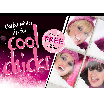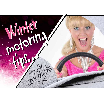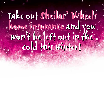## Take out Sheilas' Wheels home insurance and you won't be left out in the cold this winter! Take out Sheilas' Wheels home insurance and you won't be left out in the cold this winter!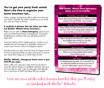### **You've got your party frock sorted. Now's the time to organise your home insurance too...**

Ladies, imagine coming home after a night out to discover your home is flooded, the boiler's packed up or you've left your only set of keys in the taxi.

#### **It could be a disaster. But not when you take out Sheilas' Wheels home insurance...**

. Make sure you add our **Home Emergency** option to your policy to ensure that all kinds of emergencies - from boiler breakdowns to problems with your plumbing would be dealt with!

You'd just need to call our helpline (put our number in your mobile) and we'd arrange for a reputable contractor to come to your house to carry out emergency repairs.

And that means you don't have the worry of ringing around for hours to get some bloke you don't even know to come to your house and charge you a whole heap of cash!

#### **Sheilas' Wheels, emergency home cover is just £53.99 per year...**

That's a little over a pound a week! And not only does it cover the call-out charge of a qualified contractor and up to two hours labour costs, it also incudes parts and materials up to a maximum of £500 (including VAT) per incident.

#### **With Sheilas' Wheels Home Emergency option you're covered for:**

#### **Plumbing and drainage**

If your drains and plumbing system are blocked or broken and your home gets flooded - you're covered.

#### **Main heating system**

There's nothing worse than coming home to a freezing cold house. If your main heating system suddenly packs up we can help you sort it out. No worries.

#### **Toilet unit**

If there's damage to your toilet bowl or cistern or if your loo completely stops working, you can claim. (Wow, that was some party!)

#### **Home security**

You're covered if there's damage to your external doors or if they're not working properly and the security of your home is at risk.

#### **Lost keys**

It's Christmas party time again. You're covered for the loss of the only available set of keys to your home if you can't replace them or gain normal access.

Here are some of the other bonzer benefits that you'll enjoy as standard with Sheilas' Wheels!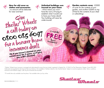

\*Sheilas' Wheels home insurance is arranged and administered by esure Services Limited, registered in England No. 2135610 at The Observatory, Reigate, Surrey RH2 0SG. Authorised and regulated by the Financial Services Authority. Not available in Northern Ireland or the Channel Islands. Subject to normal acceptance criteria. Terms, conditions, exclusions and limitations apply. Calls may be monitored and recorded.

\*\*2 months free only available over the phone. Not available when you buy online.



DM-SWHDR6028/1111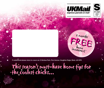



FREE 2 months FREE

If undelivered please return to: esure car, 5 Nimbus Park, Porz Avenue, Houghton Regis, Beds, LU5 5FR.

This season's must-have home tips for the coolest chicks... This season's must-have home tips for the coolest chicks...